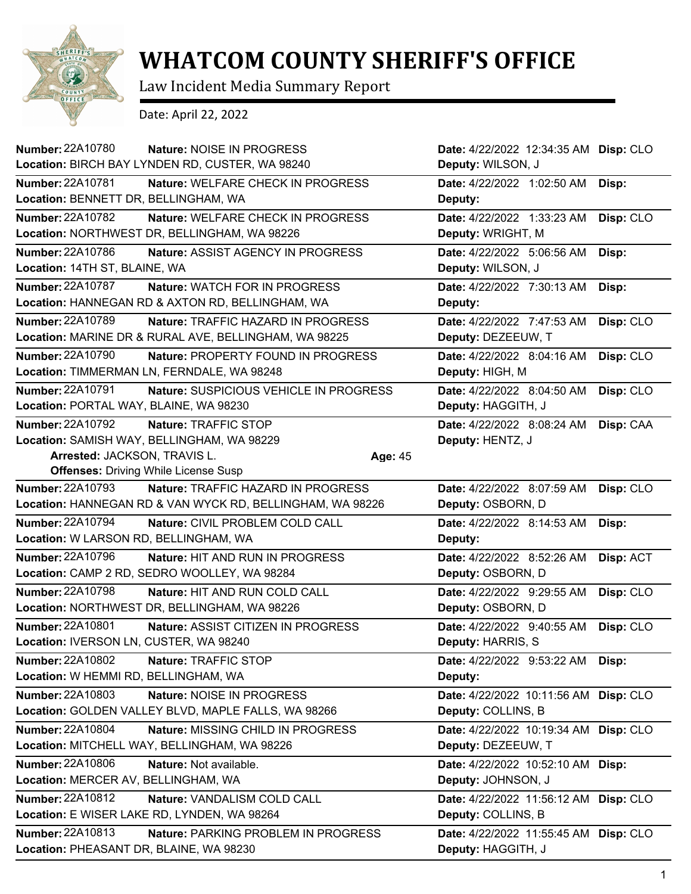

## **WHATCOM COUNTY SHERIFF'S OFFICE**

Law Incident Media Summary Report

Date: April 22, 2022

| Number: 22A10780                                          | Nature: NOISE IN PROGRESS              |                  | Date: 4/22/2022 12:34:35 AM Disp: CLO |           |
|-----------------------------------------------------------|----------------------------------------|------------------|---------------------------------------|-----------|
| Location: BIRCH BAY LYNDEN RD, CUSTER, WA 98240           |                                        |                  | Deputy: WILSON, J                     |           |
| <b>Number: 22A10781</b>                                   | Nature: WELFARE CHECK IN PROGRESS      |                  | Date: 4/22/2022 1:02:50 AM            | Disp:     |
| Location: BENNETT DR, BELLINGHAM, WA                      |                                        | Deputy:          |                                       |           |
| <b>Number: 22A10782</b>                                   | Nature: WELFARE CHECK IN PROGRESS      |                  | Date: 4/22/2022 1:33:23 AM            | Disp: CLO |
| Location: NORTHWEST DR, BELLINGHAM, WA 98226              |                                        |                  | Deputy: WRIGHT, M                     |           |
| <b>Number: 22A10786</b>                                   | Nature: ASSIST AGENCY IN PROGRESS      |                  | Date: 4/22/2022 5:06:56 AM            | Disp:     |
| Location: 14TH ST, BLAINE, WA                             |                                        |                  | Deputy: WILSON, J                     |           |
| <b>Number: 22A10787</b>                                   | Nature: WATCH FOR IN PROGRESS          |                  | Date: 4/22/2022 7:30:13 AM            | Disp:     |
| Location: HANNEGAN RD & AXTON RD, BELLINGHAM, WA          |                                        | Deputy:          |                                       |           |
| Number: 22A10789                                          | Nature: TRAFFIC HAZARD IN PROGRESS     |                  | Date: 4/22/2022 7:47:53 AM            | Disp: CLO |
| Location: MARINE DR & RURAL AVE, BELLINGHAM, WA 98225     |                                        |                  | Deputy: DEZEEUW, T                    |           |
| <b>Number: 22A10790</b>                                   | Nature: PROPERTY FOUND IN PROGRESS     |                  | Date: 4/22/2022 8:04:16 AM            | Disp: CLO |
| Location: TIMMERMAN LN, FERNDALE, WA 98248                |                                        | Deputy: HIGH, M  |                                       |           |
| <b>Number: 22A10791</b>                                   | Nature: SUSPICIOUS VEHICLE IN PROGRESS |                  | Date: 4/22/2022 8:04:50 AM            | Disp: CLO |
| Location: PORTAL WAY, BLAINE, WA 98230                    |                                        |                  | Deputy: HAGGITH, J                    |           |
| Number: 22A10792                                          | Nature: TRAFFIC STOP                   |                  | Date: 4/22/2022 8:08:24 AM            | Disp: CAA |
| Location: SAMISH WAY, BELLINGHAM, WA 98229                |                                        | Deputy: HENTZ, J |                                       |           |
| Arrested: JACKSON, TRAVIS L.                              |                                        | Age: 45          |                                       |           |
| <b>Offenses: Driving While License Susp</b>               |                                        |                  |                                       |           |
| <b>Number: 22A10793</b>                                   | Nature: TRAFFIC HAZARD IN PROGRESS     |                  | Date: 4/22/2022 8:07:59 AM            | Disp: CLO |
| Location: HANNEGAN RD & VAN WYCK RD, BELLINGHAM, WA 98226 |                                        |                  | Deputy: OSBORN, D                     |           |
| <b>Number: 22A10794</b>                                   | Nature: CIVIL PROBLEM COLD CALL        |                  | Date: 4/22/2022 8:14:53 AM            | Disp:     |
| Location: W LARSON RD, BELLINGHAM, WA                     |                                        | Deputy:          |                                       |           |
| Number: 22A10796                                          | Nature: HIT AND RUN IN PROGRESS        |                  | Date: 4/22/2022 8:52:26 AM            | Disp: ACT |
| Location: CAMP 2 RD, SEDRO WOOLLEY, WA 98284              |                                        |                  | Deputy: OSBORN, D                     |           |
| <b>Number: 22A10798</b>                                   | Nature: HIT AND RUN COLD CALL          |                  | Date: 4/22/2022 9:29:55 AM            | Disp: CLO |
| Location: NORTHWEST DR, BELLINGHAM, WA 98226              |                                        |                  | Deputy: OSBORN, D                     |           |
| Number: 22A10801                                          | Nature: ASSIST CITIZEN IN PROGRESS     |                  | Date: 4/22/2022 9:40:55 AM            | Disp: CLO |
| Location: IVERSON LN, CUSTER, WA 98240                    |                                        |                  |                                       |           |
|                                                           |                                        |                  | Deputy: HARRIS, S                     |           |
| Number: 22A10802                                          | Nature: TRAFFIC STOP                   |                  | Date: 4/22/2022 9:53:22 AM            | Disp:     |
| Location: W HEMMI RD, BELLINGHAM, WA                      |                                        | Deputy:          |                                       |           |
| Number: 22A10803                                          | Nature: NOISE IN PROGRESS              |                  | Date: 4/22/2022 10:11:56 AM Disp: CLO |           |
| Location: GOLDEN VALLEY BLVD, MAPLE FALLS, WA 98266       |                                        |                  | Deputy: COLLINS, B                    |           |
| <b>Number: 22A10804</b>                                   | Nature: MISSING CHILD IN PROGRESS      |                  | Date: 4/22/2022 10:19:34 AM           | Disp: CLO |
| Location: MITCHELL WAY, BELLINGHAM, WA 98226              |                                        |                  | Deputy: DEZEEUW, T                    |           |
| Number: 22A10806<br>Nature: Not available.                |                                        |                  | Date: 4/22/2022 10:52:10 AM Disp:     |           |
| Location: MERCER AV, BELLINGHAM, WA                       |                                        |                  | Deputy: JOHNSON, J                    |           |
| Number: 22A10812                                          | Nature: VANDALISM COLD CALL            |                  | Date: 4/22/2022 11:56:12 AM           | Disp: CLO |
| Location: E WISER LAKE RD, LYNDEN, WA 98264               |                                        |                  | Deputy: COLLINS, B                    |           |
| Number: 22A10813                                          | Nature: PARKING PROBLEM IN PROGRESS    |                  | Date: 4/22/2022 11:55:45 AM           | Disp: CLO |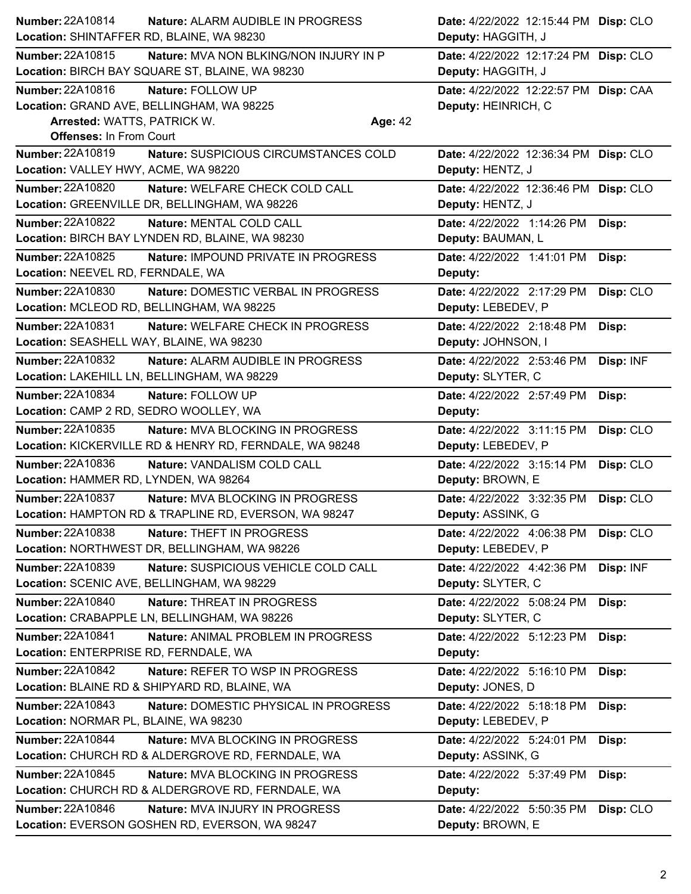| Number: 22A10814                          | Nature: ALARM AUDIBLE IN PROGRESS                       |                | Date: 4/22/2022 12:15:44 PM Disp: CLO |           |
|-------------------------------------------|---------------------------------------------------------|----------------|---------------------------------------|-----------|
| Location: SHINTAFFER RD, BLAINE, WA 98230 |                                                         |                | Deputy: HAGGITH, J                    |           |
| <b>Number: 22A10815</b>                   | <b>Nature: MVA NON BLKING/NON INJURY IN P</b>           |                | Date: 4/22/2022 12:17:24 PM Disp: CLO |           |
|                                           | Location: BIRCH BAY SQUARE ST, BLAINE, WA 98230         |                | Deputy: HAGGITH, J                    |           |
| Number: 22A10816                          | Nature: FOLLOW UP                                       |                | Date: 4/22/2022 12:22:57 PM Disp: CAA |           |
| Location: GRAND AVE, BELLINGHAM, WA 98225 |                                                         |                | Deputy: HEINRICH, C                   |           |
| Arrested: WATTS, PATRICK W.               |                                                         | <b>Age: 42</b> |                                       |           |
| <b>Offenses: In From Court</b>            |                                                         |                |                                       |           |
| Number: 22A10819                          | Nature: SUSPICIOUS CIRCUMSTANCES COLD                   |                | Date: 4/22/2022 12:36:34 PM Disp: CLO |           |
| Location: VALLEY HWY, ACME, WA 98220      |                                                         |                | Deputy: HENTZ, J                      |           |
| Number: 22A10820                          | Nature: WELFARE CHECK COLD CALL                         |                | Date: 4/22/2022 12:36:46 PM Disp: CLO |           |
|                                           | Location: GREENVILLE DR, BELLINGHAM, WA 98226           |                | Deputy: HENTZ, J                      |           |
| Number: 22A10822                          | Nature: MENTAL COLD CALL                                |                | Date: 4/22/2022 1:14:26 PM            | Disp:     |
|                                           | Location: BIRCH BAY LYNDEN RD, BLAINE, WA 98230         |                | Deputy: BAUMAN, L                     |           |
| <b>Number: 22A10825</b>                   | Nature: IMPOUND PRIVATE IN PROGRESS                     |                | Date: 4/22/2022 1:41:01 PM            | Disp:     |
| Location: NEEVEL RD, FERNDALE, WA         |                                                         |                | Deputy:                               |           |
| Number: 22A10830                          | Nature: DOMESTIC VERBAL IN PROGRESS                     |                | Date: 4/22/2022 2:17:29 PM            | Disp: CLO |
|                                           | Location: MCLEOD RD, BELLINGHAM, WA 98225               |                | Deputy: LEBEDEV, P                    |           |
| <b>Number: 22A10831</b>                   | Nature: WELFARE CHECK IN PROGRESS                       |                | Date: 4/22/2022 2:18:48 PM            | Disp:     |
| Location: SEASHELL WAY, BLAINE, WA 98230  |                                                         |                | Deputy: JOHNSON, I                    |           |
| Number: 22A10832                          | Nature: ALARM AUDIBLE IN PROGRESS                       |                | Date: 4/22/2022 2:53:46 PM            | Disp: INF |
|                                           | Location: LAKEHILL LN, BELLINGHAM, WA 98229             |                | Deputy: SLYTER, C                     |           |
| <b>Number: 22A10834</b>                   | Nature: FOLLOW UP                                       |                | Date: 4/22/2022 2:57:49 PM            | Disp:     |
| Location: CAMP 2 RD, SEDRO WOOLLEY, WA    |                                                         |                | Deputy:                               |           |
| Number: 22A10835                          | <b>Nature: MVA BLOCKING IN PROGRESS</b>                 |                | Date: 4/22/2022 3:11:15 PM            | Disp: CLO |
|                                           | Location: KICKERVILLE RD & HENRY RD, FERNDALE, WA 98248 |                | Deputy: LEBEDEV, P                    |           |
| Number: 22A10836                          | Nature: VANDALISM COLD CALL                             |                | Date: 4/22/2022 3:15:14 PM            | Disp: CLO |
| Location: HAMMER RD, LYNDEN, WA 98264     |                                                         |                | Deputy: BROWN, E                      |           |
| <b>Number: 22A10837</b>                   | Nature: MVA BLOCKING IN PROGRESS                        |                | Date: 4/22/2022 3:32:35 PM            | Disp: CLO |
|                                           | Location: HAMPTON RD & TRAPLINE RD, EVERSON, WA 98247   |                | Deputy: ASSINK, G                     |           |
| Number: 22A10838                          | Nature: THEFT IN PROGRESS                               |                | Date: 4/22/2022 4:06:38 PM            | Disp: CLO |
|                                           | Location: NORTHWEST DR, BELLINGHAM, WA 98226            |                | Deputy: LEBEDEV, P                    |           |
| <b>Number: 22A10839</b>                   | Nature: SUSPICIOUS VEHICLE COLD CALL                    |                | Date: 4/22/2022 4:42:36 PM            | Disp: INF |
|                                           | Location: SCENIC AVE, BELLINGHAM, WA 98229              |                | Deputy: SLYTER, C                     |           |
| <b>Number: 22A10840</b>                   | Nature: THREAT IN PROGRESS                              |                | Date: 4/22/2022 5:08:24 PM            | Disp:     |
|                                           | Location: CRABAPPLE LN, BELLINGHAM, WA 98226            |                | Deputy: SLYTER, C                     |           |
| <b>Number: 22A10841</b>                   | Nature: ANIMAL PROBLEM IN PROGRESS                      |                | Date: 4/22/2022 5:12:23 PM            | Disp:     |
| Location: ENTERPRISE RD, FERNDALE, WA     |                                                         |                | Deputy:                               |           |
| Number: 22A10842                          | Nature: REFER TO WSP IN PROGRESS                        |                | Date: 4/22/2022 5:16:10 PM            | Disp:     |
|                                           | Location: BLAINE RD & SHIPYARD RD, BLAINE, WA           |                | Deputy: JONES, D                      |           |
| <b>Number: 22A10843</b>                   | Nature: DOMESTIC PHYSICAL IN PROGRESS                   |                | Date: 4/22/2022 5:18:18 PM            | Disp:     |
| Location: NORMAR PL, BLAINE, WA 98230     |                                                         |                | Deputy: LEBEDEV, P                    |           |
| Number: 22A10844                          | Nature: MVA BLOCKING IN PROGRESS                        |                | Date: 4/22/2022 5:24:01 PM            | Disp:     |
|                                           | Location: CHURCH RD & ALDERGROVE RD, FERNDALE, WA       |                | Deputy: ASSINK, G                     |           |
| Number: 22A10845                          | Nature: MVA BLOCKING IN PROGRESS                        |                | Date: 4/22/2022 5:37:49 PM            | Disp:     |
|                                           | Location: CHURCH RD & ALDERGROVE RD, FERNDALE, WA       |                | Deputy:                               |           |
| Number: 22A10846                          | Nature: MVA INJURY IN PROGRESS                          |                | Date: 4/22/2022 5:50:35 PM            | Disp: CLO |
|                                           | Location: EVERSON GOSHEN RD, EVERSON, WA 98247          |                | Deputy: BROWN, E                      |           |